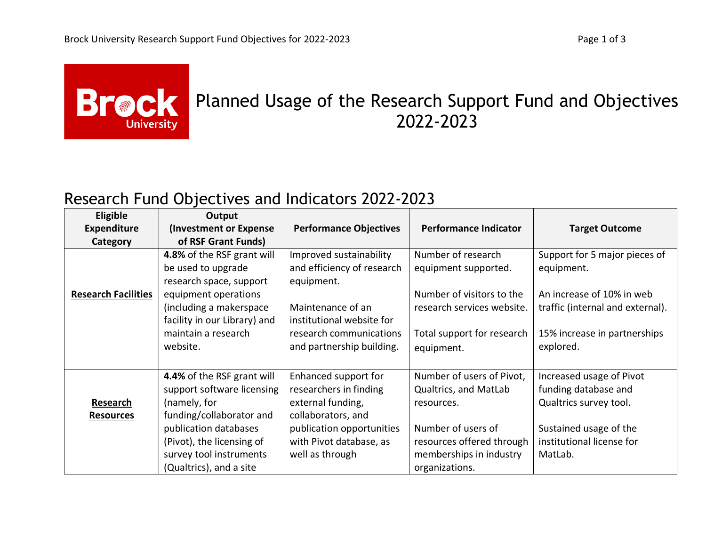

## **Brack** Planned Usage of the Research Support Fund and Objectives 2022-2023

## Research Fund Objectives and Indicators 2022-2023

| <b>Eligible</b>            | Output                       |                               |                              |                                  |
|----------------------------|------------------------------|-------------------------------|------------------------------|----------------------------------|
| <b>Expenditure</b>         | (Investment or Expense)      | <b>Performance Objectives</b> | <b>Performance Indicator</b> | <b>Target Outcome</b>            |
| Category                   | of RSF Grant Funds)          |                               |                              |                                  |
|                            | 4.8% of the RSF grant will   | Improved sustainability       | Number of research           | Support for 5 major pieces of    |
|                            | be used to upgrade           | and efficiency of research    | equipment supported.         | equipment.                       |
|                            | research space, support      | equipment.                    |                              |                                  |
| <b>Research Facilities</b> | equipment operations         |                               | Number of visitors to the    | An increase of 10% in web        |
|                            | (including a makerspace      | Maintenance of an             | research services website.   | traffic (internal and external). |
|                            | facility in our Library) and | institutional website for     |                              |                                  |
|                            | maintain a research          | research communications       | Total support for research   | 15% increase in partnerships     |
|                            | website.                     | and partnership building.     | equipment.                   | explored.                        |
|                            |                              |                               |                              |                                  |
|                            | 4.4% of the RSF grant will   | Enhanced support for          | Number of users of Pivot,    | Increased usage of Pivot         |
|                            | support software licensing   | researchers in finding        | Qualtrics, and MatLab        | funding database and             |
| <b>Research</b>            | (namely, for                 | external funding,             | resources.                   | Qualtrics survey tool.           |
| <b>Resources</b>           | funding/collaborator and     | collaborators, and            |                              |                                  |
|                            | publication databases        | publication opportunities     | Number of users of           | Sustained usage of the           |
|                            | (Pivot), the licensing of    | with Pivot database, as       | resources offered through    | institutional license for        |
|                            | survey tool instruments      | well as through               | memberships in industry      | MatLab.                          |
|                            | (Qualtrics), and a site      |                               | organizations.               |                                  |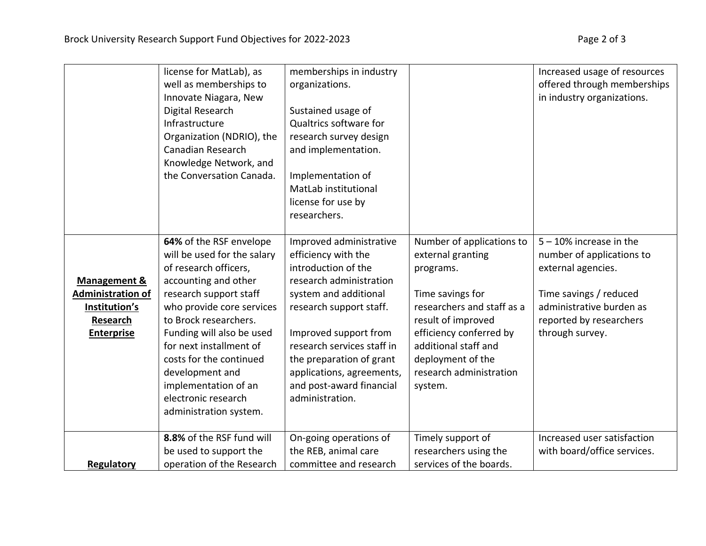|                                                                                                | license for MatLab), as<br>well as memberships to<br>Innovate Niagara, New<br>Digital Research<br>Infrastructure<br>Organization (NDRIO), the<br>Canadian Research<br>Knowledge Network, and<br>the Conversation Canada.                                                                                                                                               | memberships in industry<br>organizations.<br>Sustained usage of<br>Qualtrics software for<br>research survey design<br>and implementation.<br>Implementation of<br>MatLab institutional<br>license for use by<br>researchers.                                                                                       |                                                                                                                                                                                                                                                   | Increased usage of resources<br>offered through memberships<br>in industry organizations.                                                                                         |
|------------------------------------------------------------------------------------------------|------------------------------------------------------------------------------------------------------------------------------------------------------------------------------------------------------------------------------------------------------------------------------------------------------------------------------------------------------------------------|---------------------------------------------------------------------------------------------------------------------------------------------------------------------------------------------------------------------------------------------------------------------------------------------------------------------|---------------------------------------------------------------------------------------------------------------------------------------------------------------------------------------------------------------------------------------------------|-----------------------------------------------------------------------------------------------------------------------------------------------------------------------------------|
| <b>Management &amp;</b><br>Administration of<br>Institution's<br>Research<br><b>Enterprise</b> | 64% of the RSF envelope<br>will be used for the salary<br>of research officers,<br>accounting and other<br>research support staff<br>who provide core services<br>to Brock researchers.<br>Funding will also be used<br>for next installment of<br>costs for the continued<br>development and<br>implementation of an<br>electronic research<br>administration system. | Improved administrative<br>efficiency with the<br>introduction of the<br>research administration<br>system and additional<br>research support staff.<br>Improved support from<br>research services staff in<br>the preparation of grant<br>applications, agreements,<br>and post-award financial<br>administration. | Number of applications to<br>external granting<br>programs.<br>Time savings for<br>researchers and staff as a<br>result of improved<br>efficiency conferred by<br>additional staff and<br>deployment of the<br>research administration<br>system. | $5 - 10\%$ increase in the<br>number of applications to<br>external agencies.<br>Time savings / reduced<br>administrative burden as<br>reported by researchers<br>through survey. |
| <b>Regulatory</b>                                                                              | 8.8% of the RSF fund will<br>be used to support the<br>operation of the Research                                                                                                                                                                                                                                                                                       | On-going operations of<br>the REB, animal care<br>committee and research                                                                                                                                                                                                                                            | Timely support of<br>researchers using the<br>services of the boards.                                                                                                                                                                             | Increased user satisfaction<br>with board/office services.                                                                                                                        |